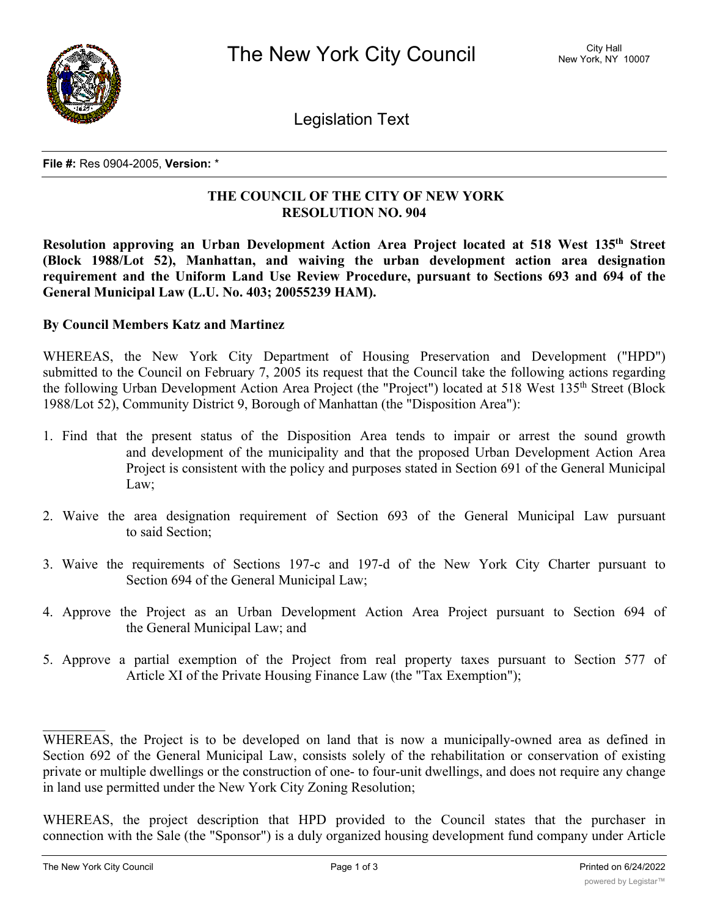

Legislation Text

**File #:** Res 0904-2005, **Version:** \*

## **THE COUNCIL OF THE CITY OF NEW YORK RESOLUTION NO. 904**

**Resolution approving an Urban Development Action Area Project located at 518 West 135th Street (Block 1988/Lot 52), Manhattan, and waiving the urban development action area designation requirement and the Uniform Land Use Review Procedure, pursuant to Sections 693 and 694 of the General Municipal Law (L.U. No. 403; 20055239 HAM).**

## **By Council Members Katz and Martinez**

WHEREAS, the New York City Department of Housing Preservation and Development ("HPD") submitted to the Council on February 7, 2005 its request that the Council take the following actions regarding the following Urban Development Action Area Project (the "Project") located at 518 West 135<sup>th</sup> Street (Block 1988/Lot 52), Community District 9, Borough of Manhattan (the "Disposition Area"):

- 1. Find that the present status of the Disposition Area tends to impair or arrest the sound growth and development of the municipality and that the proposed Urban Development Action Area Project is consistent with the policy and purposes stated in Section 691 of the General Municipal Law;
- 2. Waive the area designation requirement of Section 693 of the General Municipal Law pursuant to said Section;
- 3. Waive the requirements of Sections 197-c and 197-d of the New York City Charter pursuant to Section 694 of the General Municipal Law;
- 4. Approve the Project as an Urban Development Action Area Project pursuant to Section 694 of the General Municipal Law; and
- 5. Approve a partial exemption of the Project from real property taxes pursuant to Section 577 of Article XI of the Private Housing Finance Law (the "Tax Exemption");

WHEREAS, the Project is to be developed on land that is now a municipally-owned area as defined in Section 692 of the General Municipal Law, consists solely of the rehabilitation or conservation of existing private or multiple dwellings or the construction of one- to four-unit dwellings, and does not require any change in land use permitted under the New York City Zoning Resolution;

WHEREAS, the project description that HPD provided to the Council states that the purchaser in connection with the Sale (the "Sponsor") is a duly organized housing development fund company under Article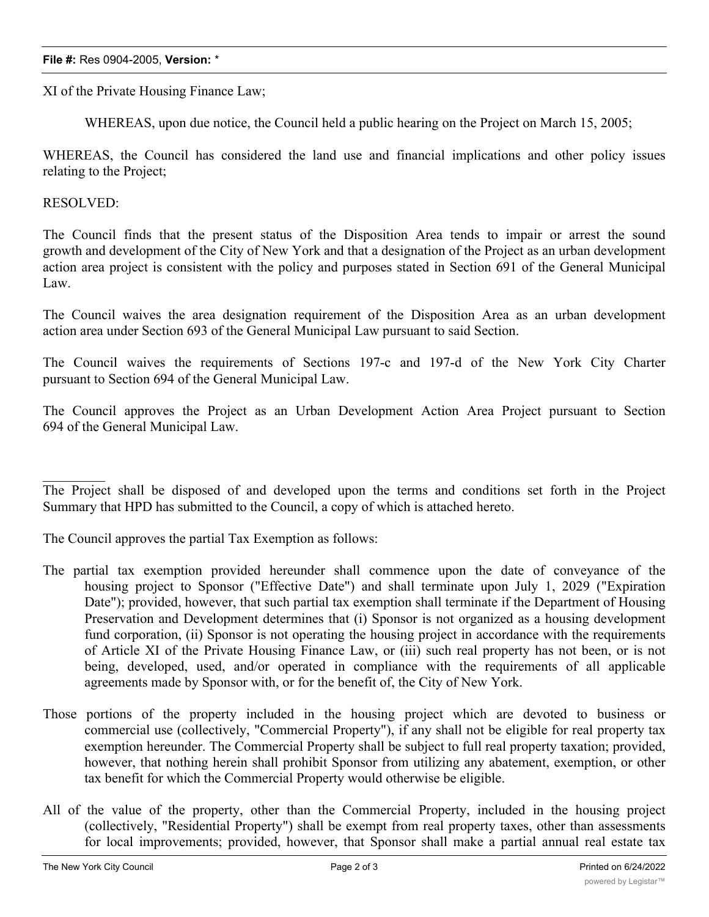## **File #:** Res 0904-2005, **Version:** \*

XI of the Private Housing Finance Law;

WHEREAS, upon due notice, the Council held a public hearing on the Project on March 15, 2005;

WHEREAS, the Council has considered the land use and financial implications and other policy issues relating to the Project;

RESOLVED:

The Council finds that the present status of the Disposition Area tends to impair or arrest the sound growth and development of the City of New York and that a designation of the Project as an urban development action area project is consistent with the policy and purposes stated in Section 691 of the General Municipal Law.

The Council waives the area designation requirement of the Disposition Area as an urban development action area under Section 693 of the General Municipal Law pursuant to said Section.

The Council waives the requirements of Sections 197-c and 197-d of the New York City Charter pursuant to Section 694 of the General Municipal Law.

The Council approves the Project as an Urban Development Action Area Project pursuant to Section 694 of the General Municipal Law.

The Project shall be disposed of and developed upon the terms and conditions set forth in the Project Summary that HPD has submitted to the Council, a copy of which is attached hereto.

The Council approves the partial Tax Exemption as follows:

- The partial tax exemption provided hereunder shall commence upon the date of conveyance of the housing project to Sponsor ("Effective Date") and shall terminate upon July 1, 2029 ("Expiration Date"); provided, however, that such partial tax exemption shall terminate if the Department of Housing Preservation and Development determines that (i) Sponsor is not organized as a housing development fund corporation, (ii) Sponsor is not operating the housing project in accordance with the requirements of Article XI of the Private Housing Finance Law, or (iii) such real property has not been, or is not being, developed, used, and/or operated in compliance with the requirements of all applicable agreements made by Sponsor with, or for the benefit of, the City of New York.
- Those portions of the property included in the housing project which are devoted to business or commercial use (collectively, "Commercial Property"), if any shall not be eligible for real property tax exemption hereunder. The Commercial Property shall be subject to full real property taxation; provided, however, that nothing herein shall prohibit Sponsor from utilizing any abatement, exemption, or other tax benefit for which the Commercial Property would otherwise be eligible.
- All of the value of the property, other than the Commercial Property, included in the housing project (collectively, "Residential Property") shall be exempt from real property taxes, other than assessments for local improvements; provided, however, that Sponsor shall make a partial annual real estate tax